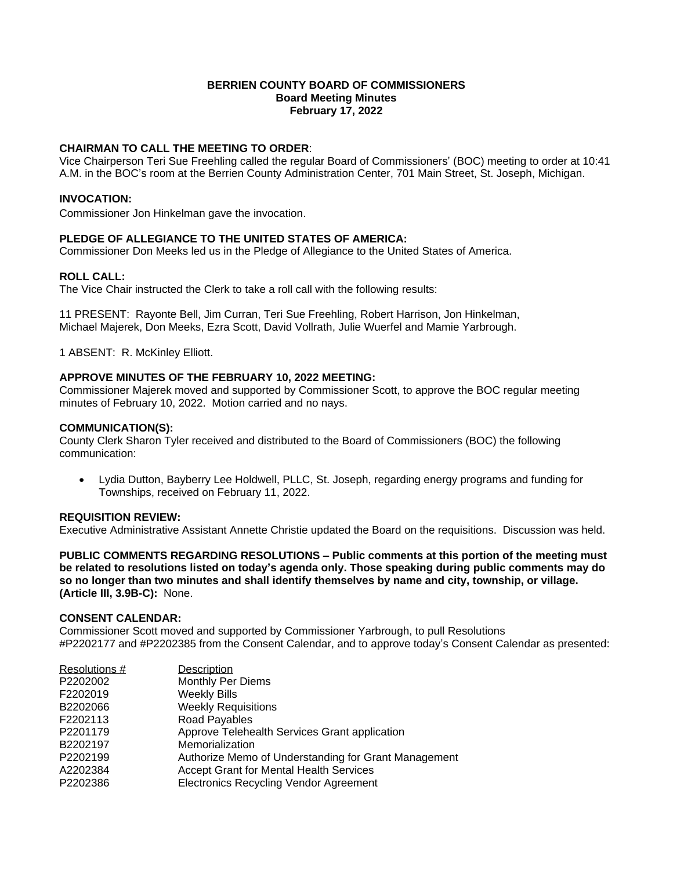### **BERRIEN COUNTY BOARD OF COMMISSIONERS Board Meeting Minutes February 17, 2022**

## **CHAIRMAN TO CALL THE MEETING TO ORDER**:

Vice Chairperson Teri Sue Freehling called the regular Board of Commissioners' (BOC) meeting to order at 10:41 A.M. in the BOC's room at the Berrien County Administration Center, 701 Main Street, St. Joseph, Michigan.

#### **INVOCATION:**

Commissioner Jon Hinkelman gave the invocation.

### **PLEDGE OF ALLEGIANCE TO THE UNITED STATES OF AMERICA:**

Commissioner Don Meeks led us in the Pledge of Allegiance to the United States of America.

#### **ROLL CALL:**

The Vice Chair instructed the Clerk to take a roll call with the following results:

11 PRESENT: Rayonte Bell, Jim Curran, Teri Sue Freehling, Robert Harrison, Jon Hinkelman, Michael Majerek, Don Meeks, Ezra Scott, David Vollrath, Julie Wuerfel and Mamie Yarbrough.

1 ABSENT: R. McKinley Elliott.

#### **APPROVE MINUTES OF THE FEBRUARY 10, 2022 MEETING:**

Commissioner Majerek moved and supported by Commissioner Scott, to approve the BOC regular meeting minutes of February 10, 2022. Motion carried and no nays.

#### **COMMUNICATION(S):**

County Clerk Sharon Tyler received and distributed to the Board of Commissioners (BOC) the following communication:

 Lydia Dutton, Bayberry Lee Holdwell, PLLC, St. Joseph, regarding energy programs and funding for Townships, received on February 11, 2022.

#### **REQUISITION REVIEW:**

Executive Administrative Assistant Annette Christie updated the Board on the requisitions. Discussion was held.

**PUBLIC COMMENTS REGARDING RESOLUTIONS – Public comments at this portion of the meeting must be related to resolutions listed on today's agenda only. Those speaking during public comments may do so no longer than two minutes and shall identify themselves by name and city, township, or village. (Article III, 3.9B-C):** None.

#### **CONSENT CALENDAR:**

Commissioner Scott moved and supported by Commissioner Yarbrough, to pull Resolutions #P2202177 and #P2202385 from the Consent Calendar, and to approve today's Consent Calendar as presented:

| Resolutions # | <b>Description</b>                                   |
|---------------|------------------------------------------------------|
| P2202002      | Monthly Per Diems                                    |
| F2202019      | <b>Weekly Bills</b>                                  |
| B2202066      | <b>Weekly Requisitions</b>                           |
| F2202113      | Road Payables                                        |
| P2201179      | Approve Telehealth Services Grant application        |
| B2202197      | Memorialization                                      |
| P2202199      | Authorize Memo of Understanding for Grant Management |
| A2202384      | <b>Accept Grant for Mental Health Services</b>       |
| P2202386      | <b>Electronics Recycling Vendor Agreement</b>        |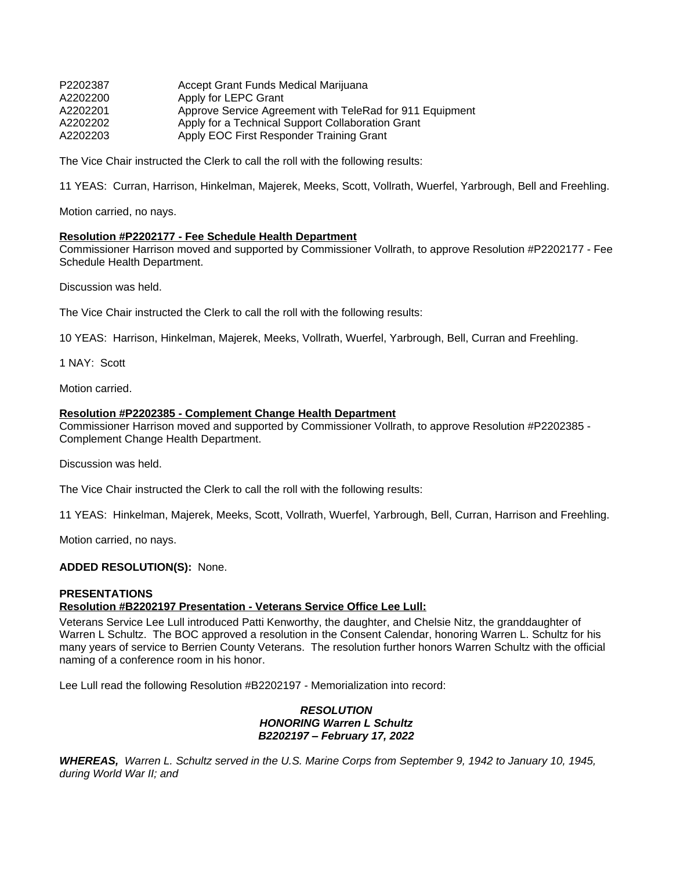| P2202387 | Accept Grant Funds Medical Marijuana                     |
|----------|----------------------------------------------------------|
| A2202200 | Apply for LEPC Grant                                     |
| A2202201 | Approve Service Agreement with TeleRad for 911 Equipment |
| A2202202 | Apply for a Technical Support Collaboration Grant        |
| A2202203 | Apply EOC First Responder Training Grant                 |

The Vice Chair instructed the Clerk to call the roll with the following results:

11 YEAS: Curran, Harrison, Hinkelman, Majerek, Meeks, Scott, Vollrath, Wuerfel, Yarbrough, Bell and Freehling.

Motion carried, no nays.

#### **Resolution #P2202177 - Fee Schedule Health Department**

Commissioner Harrison moved and supported by Commissioner Vollrath, to approve Resolution #P2202177 - Fee Schedule Health Department.

Discussion was held.

The Vice Chair instructed the Clerk to call the roll with the following results:

10 YEAS: Harrison, Hinkelman, Majerek, Meeks, Vollrath, Wuerfel, Yarbrough, Bell, Curran and Freehling.

1 NAY: Scott

Motion carried.

#### **Resolution #P2202385 - Complement Change Health Department**

Commissioner Harrison moved and supported by Commissioner Vollrath, to approve Resolution #P2202385 - Complement Change Health Department.

Discussion was held.

The Vice Chair instructed the Clerk to call the roll with the following results:

11 YEAS: Hinkelman, Majerek, Meeks, Scott, Vollrath, Wuerfel, Yarbrough, Bell, Curran, Harrison and Freehling.

Motion carried, no nays.

#### **ADDED RESOLUTION(S):** None.

#### **PRESENTATIONS**

#### **Resolution #B2202197 Presentation - Veterans Service Office Lee Lull:**

Veterans Service Lee Lull introduced Patti Kenworthy, the daughter, and Chelsie Nitz, the granddaughter of Warren L Schultz. The BOC approved a resolution in the Consent Calendar, honoring Warren L. Schultz for his many years of service to Berrien County Veterans. The resolution further honors Warren Schultz with the official naming of a conference room in his honor.

Lee Lull read the following Resolution #B2202197 - Memorialization into record:

### *RESOLUTION HONORING Warren L Schultz B2202197 – February 17, 2022*

*WHEREAS, Warren L. Schultz served in the U.S. Marine Corps from September 9, 1942 to January 10, 1945, during World War II; and*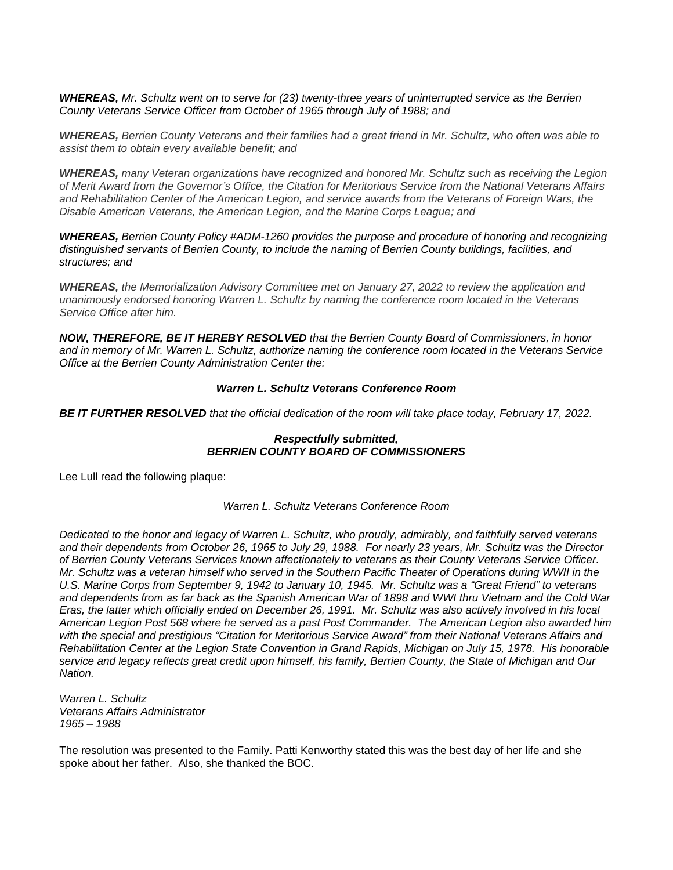*WHEREAS, Mr. Schultz went on to serve for (23) twenty-three years of uninterrupted service as the Berrien County Veterans Service Officer from October of 1965 through July of 1988; and*

*WHEREAS, Berrien County Veterans and their families had a great friend in Mr. Schultz, who often was able to assist them to obtain every available benefit; and* 

*WHEREAS, many Veteran organizations have recognized and honored Mr. Schultz such as receiving the Legion of Merit Award from the Governor's Office, the Citation for Meritorious Service from the National Veterans Affairs and Rehabilitation Center of the American Legion, and service awards from the Veterans of Foreign Wars, the Disable American Veterans, the American Legion, and the Marine Corps League; and* 

*WHEREAS, Berrien County Policy #ADM-1260 provides the purpose and procedure of honoring and recognizing distinguished servants of Berrien County, to include the naming of Berrien County buildings, facilities, and structures; and* 

*WHEREAS, the Memorialization Advisory Committee met on January 27, 2022 to review the application and unanimously endorsed honoring Warren L. Schultz by naming the conference room located in the Veterans Service Office after him.* 

*NOW, THEREFORE, BE IT HEREBY RESOLVED that the Berrien County Board of Commissioners, in honor and in memory of Mr. Warren L. Schultz, authorize naming the conference room located in the Veterans Service Office at the Berrien County Administration Center the:* 

#### *Warren L. Schultz Veterans Conference Room*

*BE IT FURTHER RESOLVED that the official dedication of the room will take place today, February 17, 2022.*

### *Respectfully submitted, BERRIEN COUNTY BOARD OF COMMISSIONERS*

Lee Lull read the following plaque:

*Warren L. Schultz Veterans Conference Room*

*Dedicated to the honor and legacy of Warren L. Schultz, who proudly, admirably, and faithfully served veterans and their dependents from October 26, 1965 to July 29, 1988. For nearly 23 years, Mr. Schultz was the Director of Berrien County Veterans Services known affectionately to veterans as their County Veterans Service Officer. Mr. Schultz was a veteran himself who served in the Southern Pacific Theater of Operations during WWII in the U.S. Marine Corps from September 9, 1942 to January 10, 1945. Mr. Schultz was a "Great Friend" to veterans and dependents from as far back as the Spanish American War of 1898 and WWI thru Vietnam and the Cold War Eras, the latter which officially ended on December 26, 1991. Mr. Schultz was also actively involved in his local American Legion Post 568 where he served as a past Post Commander. The American Legion also awarded him with the special and prestigious "Citation for Meritorious Service Award" from their National Veterans Affairs and Rehabilitation Center at the Legion State Convention in Grand Rapids, Michigan on July 15, 1978. His honorable service and legacy reflects great credit upon himself, his family, Berrien County, the State of Michigan and Our Nation.*

*Warren L. Schultz Veterans Affairs Administrator 1965 – 1988*

The resolution was presented to the Family. Patti Kenworthy stated this was the best day of her life and she spoke about her father. Also, she thanked the BOC.